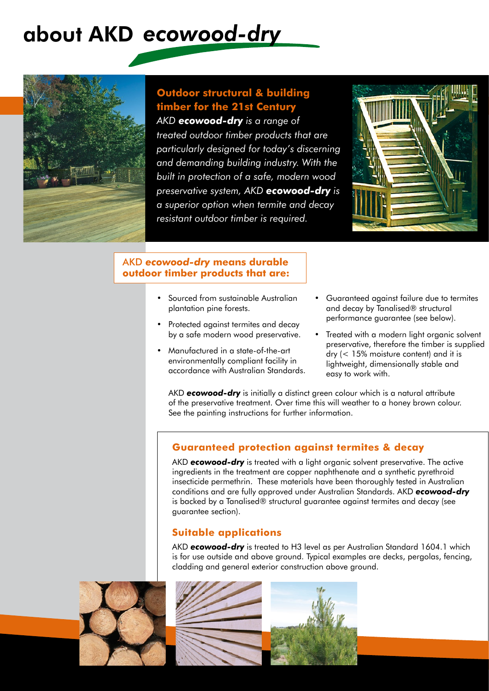# about AKD ecowood-dry



# **Outdoor structural & building timber for the 21st Century**

*AKD ecowood-dry is a range of treated outdoor timber products that are particularly designed for today's discerning and demanding building industry. With the built in protection of a safe, modern wood preservative system, AKD ecowood-dry is a superior option when termite and decay resistant outdoor timber is required.*



#### AKD *ecowood-dry* **means durable outdoor timber products that are:**

- Sourced from sustainable Australian plantation pine forests.
- Protected against termites and decay by a safe modern wood preservative.
- Manufactured in a state-of-the-art environmentally compliant facility in accordance with Australian Standards.
- Guaranteed against failure due to termites and decay by Tanalised® structural performance guarantee (see below).
- Treated with a modern light organic solvent preservative, therefore the timber is supplied dry (< 15% moisture content) and it is lightweight, dimensionally stable and easy to work with.

AKD *ecowood-dry* is initially a distinct green colour which is a natural attribute of the preservative treatment. Over time this will weather to a honey brown colour. See the painting instructions for further information.

# **Guaranteed protection against termites & decay**

AKD *ecowood-dry* is treated with a light organic solvent preservative. The active ingredients in the treatment are copper naphthenate and a synthetic pyrethroid insecticide permethrin. These materials have been thoroughly tested in Australian conditions and are fully approved under Australian Standards. AKD *ecowood-dry* is backed by a Tanalised® structural guarantee against termites and decay (see guarantee section).

# **Suitable applications**

AKD *ecowood-dry* is treated to H3 level as per Australian Standard 1604.1 which is for use outside and above ground. Typical examples are decks, pergolas, fencing, cladding and general exterior construction above ground.



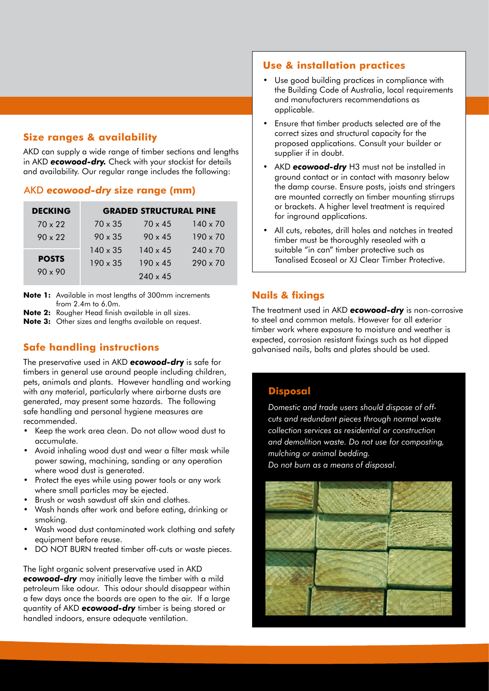## **Size ranges & availability**

AKD can supply a wide range of timber sections and lengths in AKD *ecowood-dry.* Check with your stockist for details and availability. Our regular range includes the following:

#### AKD *ecowood-dry* **size range (mm)**

| <b>DECKING</b> |                 | <b>GRADED STRUCTURAL PINE</b> |                 |
|----------------|-----------------|-------------------------------|-----------------|
| $70 \times 22$ | $70 \times 35$  | $70 \times 45$                | $140 \times 70$ |
| $90 \times 22$ | $90 \times 35$  | $90 \times 45$                | $190 \times 70$ |
|                | $140 \times 35$ | $140 \times 45$               | $240 \times 70$ |
| <b>POSTS</b>   | $190 \times 35$ | $190 \times 45$               | $290 \times 70$ |
| $90 \times 90$ |                 | $240 \times 45$               |                 |

**Note 1:** Available in most lengths of 300mm increments from 2.4m to 6.0m.

**Note 2:** Rougher Head finish available in all sizes.

**Note 3:** Other sizes and lengths available on request.

# **Safe handling instructions**

The preservative used in AKD *ecowood-dr***y** is safe for timbers in general use around people including children, pets, animals and plants. However handling and working with any material, particularly where airborne dusts are generated, may present some hazards. The following safe handling and personal hygiene measures are recommended.

- Keep the work area clean. Do not allow wood dust to accumulate.
- Avoid inhaling wood dust and wear a filter mask while power sawing, machining, sanding or any operation where wood dust is generated.
- Protect the eyes while using power tools or any work where small particles may be ejected.
- Brush or wash sawdust off skin and clothes.
- Wash hands after work and before eating, drinking or smoking.
- Wash wood dust contaminated work clothing and safety equipment before reuse.
- DO NOT BURN treated timber off-cuts or waste pieces.

The light organic solvent preservative used in AKD *ecowood-dry* may initially leave the timber with a mild petroleum like odour. This odour should disappear within a few days once the boards are open to the air. If a large quantity of AKD *ecowood-dry* timber is being stored or handled indoors, ensure adequate ventilation.

#### **Use & installation practices**

- Use good building practices in compliance with the Building Code of Australia, local requirements and manufacturers recommendations as applicable.
- Ensure that timber products selected are of the correct sizes and structural capacity for the proposed applications. Consult your builder or supplier if in doubt.
- AKD *ecowood-dry* H3 must not be installed in ground contact or in contact with masonry below the damp course. Ensure posts, joists and stringers are mounted correctly on timber mounting stirrups or brackets. A higher level treatment is required for inground applications.
- All cuts, rebates, drill holes and notches in treated timber must be thoroughly resealed with a suitable "in can" timber protective such as Tanalised Ecoseal or XJ Clear Timber Protective.

## **Nails & fixings**

The treatment used in AKD *ecowood-dry* is non-corrosive to steel and common metals. However for all exterior timber work where exposure to moisture and weather is expected, corrosion resistant fixings such as hot dipped galvanised nails, bolts and plates should be used.

### **Disposal**

*Domestic and trade users should dispose of offcuts and redundant pieces through normal waste collection services as residential or construction and demolition waste. Do not use for composting, mulching or animal bedding. Do not burn as a means of disposal.*